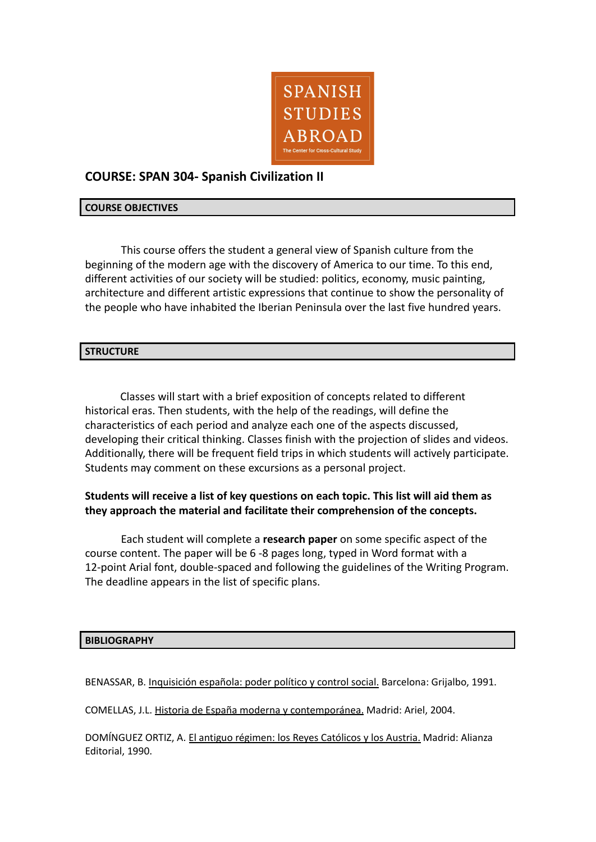

# **COURSE: SPAN 304- Spanish Civilization II**

### **COURSE OBJECTIVES**

This course offers the student a general view of Spanish culture from the beginning of the modern age with the discovery of America to our time. To this end, different activities of our society will be studied: politics, economy, music painting, architecture and different artistic expressions that continue to show the personality of the people who have inhabited the Iberian Peninsula over the last five hundred years.

### **STRUCTURE**

Classes will start with a brief exposition of concepts related to different historical eras. Then students, with the help of the readings, will define the characteristics of each period and analyze each one of the aspects discussed, developing their critical thinking. Classes finish with the projection of slides and videos. Additionally, there will be frequent field trips in which students will actively participate. Students may comment on these excursions as a personal project.

## **Students will receive a list of key questions on each topic. This list will aid them as they approach the material and facilitate their comprehension of the concepts.**

Each student will complete a **research paper** on some specific aspect of the course content. The paper will be 6 -8 pages long, typed in Word format with a 12-point Arial font, double-spaced and following the guidelines of the Writing Program. The deadline appears in the list of specific plans.

#### **BIBLIOGRAPHY**

BENASSAR, B. Inquisición española: poder político y control social. Barcelona: Grijalbo, 1991.

COMELLAS, J.L. Historia de España moderna y contemporánea. Madrid: Ariel, 2004.

DOMÍNGUEZ ORTIZ, A. El antiguo régimen: los Reyes Católicos y los Austria. Madrid: Alianza Editorial, 1990.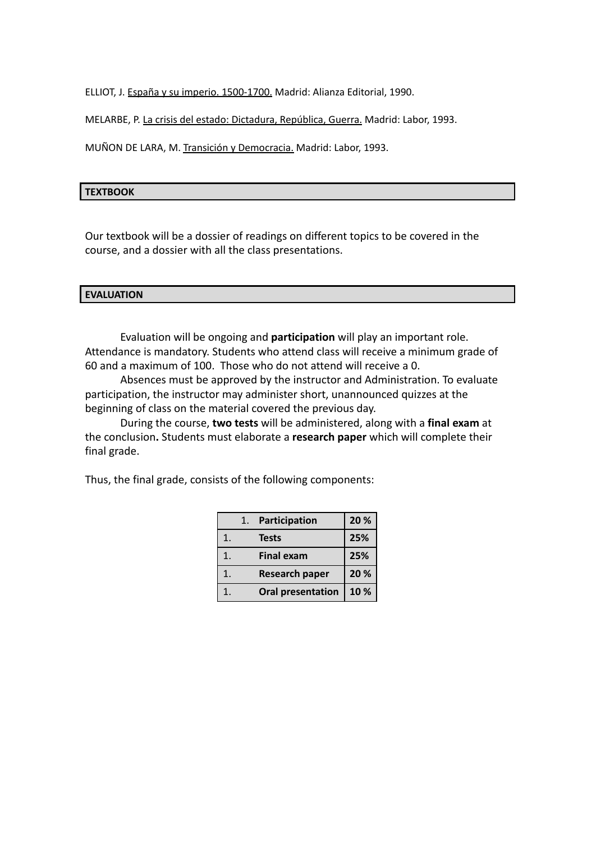ELLIOT, J. España y su imperio. 1500-1700. Madrid: Alianza Editorial, 1990.

MELARBE, P. La crisis del estado: Dictadura, República, Guerra. Madrid: Labor, 1993.

MUÑON DE LARA, M. Transición y Democracia. Madrid: Labor, 1993.

### **TEXTBOOK**

Our textbook will be a dossier of readings on different topics to be covered in the course, and a dossier with all the class presentations.

# **EVALUATION**

Evaluation will be ongoing and **participation** will play an important role. Attendance is mandatory. Students who attend class will receive a minimum grade of 60 and a maximum of 100. Those who do not attend will receive a 0.

Absences must be approved by the instructor and Administration. To evaluate participation, the instructor may administer short, unannounced quizzes at the beginning of class on the material covered the previous day.

During the course, **two tests** will be administered, along with a **final exam** at the conclusion**.** Students must elaborate a **research paper** which will complete their final grade.

Thus, the final grade, consists of the following components:

|    | 1. | Participation            | 20 % |
|----|----|--------------------------|------|
| 1. |    | <b>Tests</b>             | 25%  |
| 1. |    | <b>Final exam</b>        | 25%  |
| 1. |    | <b>Research paper</b>    | 20 % |
| 1. |    | <b>Oral presentation</b> | 10%  |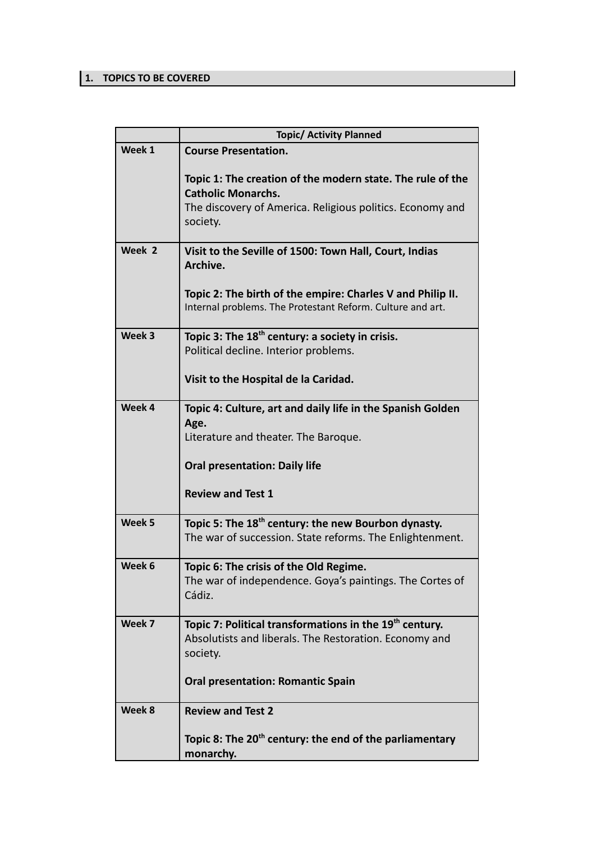## **1. TOPICS TO BE COVERED**

| <b>Topic/ Activity Planned</b>                                                                                                                                   |
|------------------------------------------------------------------------------------------------------------------------------------------------------------------|
| <b>Course Presentation.</b>                                                                                                                                      |
| Topic 1: The creation of the modern state. The rule of the<br><b>Catholic Monarchs.</b><br>The discovery of America. Religious politics. Economy and<br>society. |
| Visit to the Seville of 1500: Town Hall, Court, Indias                                                                                                           |
| Archive.                                                                                                                                                         |
| Topic 2: The birth of the empire: Charles V and Philip II.<br>Internal problems. The Protestant Reform. Culture and art.                                         |
| Topic 3: The $18th$ century: a society in crisis.                                                                                                                |
| Political decline. Interior problems.                                                                                                                            |
| Visit to the Hospital de la Caridad.                                                                                                                             |
|                                                                                                                                                                  |
| Topic 4: Culture, art and daily life in the Spanish Golden                                                                                                       |
| Age.                                                                                                                                                             |
| Literature and theater. The Baroque.                                                                                                                             |
| <b>Oral presentation: Daily life</b>                                                                                                                             |
| <b>Review and Test 1</b>                                                                                                                                         |
| Topic 5: The 18 <sup>th</sup> century: the new Bourbon dynasty.                                                                                                  |
| The war of succession. State reforms. The Enlightenment.                                                                                                         |
| Topic 6: The crisis of the Old Regime.                                                                                                                           |
| The war of independence. Goya's paintings. The Cortes of                                                                                                         |
| Cádiz.                                                                                                                                                           |
| Topic 7: Political transformations in the 19 <sup>th</sup> century.                                                                                              |
| Absolutists and liberals. The Restoration. Economy and                                                                                                           |
| society.                                                                                                                                                         |
| <b>Oral presentation: Romantic Spain</b>                                                                                                                         |
| <b>Review and Test 2</b>                                                                                                                                         |
|                                                                                                                                                                  |
| Topic 8: The 20 <sup>th</sup> century: the end of the parliamentary<br>monarchy.                                                                                 |
|                                                                                                                                                                  |